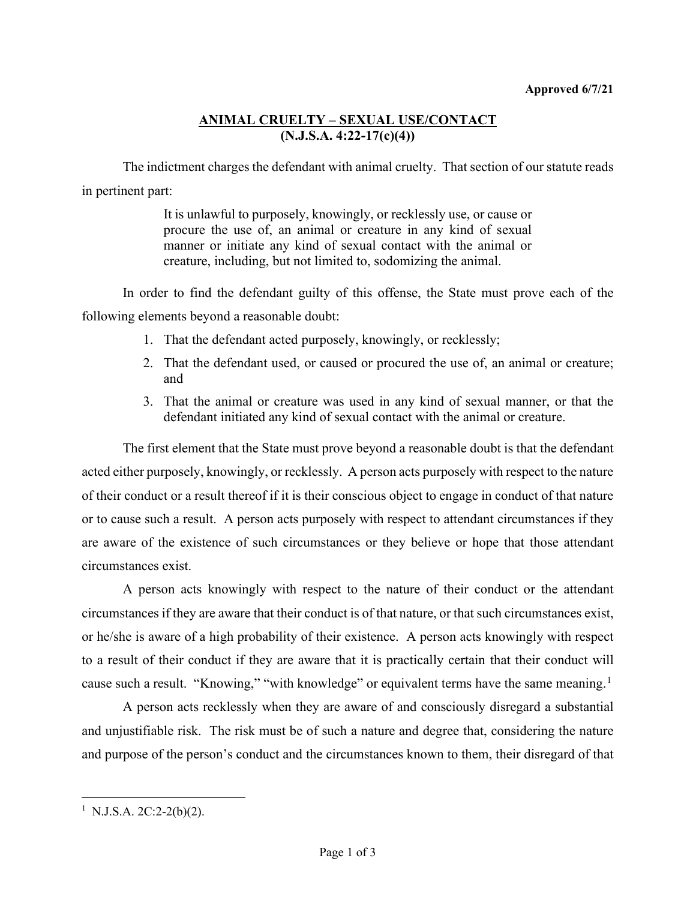## **ANIMAL CRUELTY – SEXUAL USE/CONTACT (N.J.S.A. 4:22-17(c)(4))**

The indictment charges the defendant with animal cruelty. That section of our statute reads in pertinent part:

> It is unlawful to purposely, knowingly, or recklessly use, or cause or procure the use of, an animal or creature in any kind of sexual manner or initiate any kind of sexual contact with the animal or creature, including, but not limited to, sodomizing the animal.

In order to find the defendant guilty of this offense, the State must prove each of the following elements beyond a reasonable doubt:

- 1. That the defendant acted purposely, knowingly, or recklessly;
- 2. That the defendant used, or caused or procured the use of, an animal or creature; and
- 3. That the animal or creature was used in any kind of sexual manner, or that the defendant initiated any kind of sexual contact with the animal or creature.

The first element that the State must prove beyond a reasonable doubt is that the defendant acted either purposely, knowingly, or recklessly. A person acts purposely with respect to the nature of their conduct or a result thereof if it is their conscious object to engage in conduct of that nature or to cause such a result. A person acts purposely with respect to attendant circumstances if they are aware of the existence of such circumstances or they believe or hope that those attendant circumstances exist.

A person acts knowingly with respect to the nature of their conduct or the attendant circumstances if they are aware that their conduct is of that nature, or that such circumstances exist, or he/she is aware of a high probability of their existence. A person acts knowingly with respect to a result of their conduct if they are aware that it is practically certain that their conduct will cause such a result. "Knowing," "with knowledge" or equivalent terms have the same meaning.<sup>[1](#page-0-0)</sup>

A person acts recklessly when they are aware of and consciously disregard a substantial and unjustifiable risk. The risk must be of such a nature and degree that, considering the nature and purpose of the person's conduct and the circumstances known to them, their disregard of that

<span id="page-0-0"></span><sup>&</sup>lt;sup>1</sup> N.J.S.A. 2C:2-2(b)(2).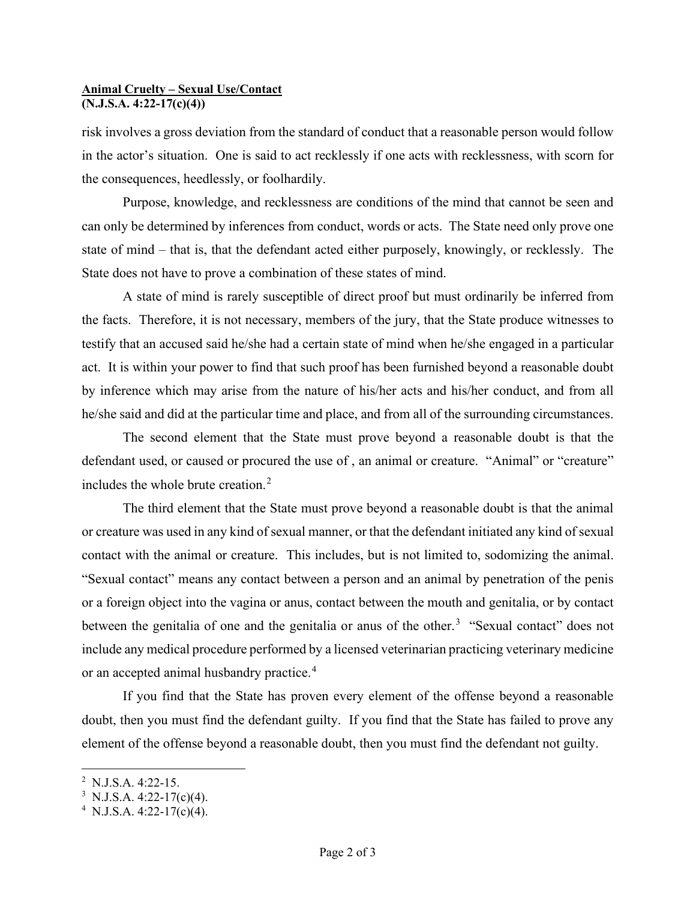## **Animal Cruelty – Sexual Use/Contact (N.J.S.A. 4:22-17(c)(4))**

risk involves a gross deviation from the standard of conduct that a reasonable person would follow in the actor's situation. One is said to act recklessly if one acts with recklessness, with scorn for the consequences, heedlessly, or foolhardily.

Purpose, knowledge, and recklessness are conditions of the mind that cannot be seen and can only be determined by inferences from conduct, words or acts. The State need only prove one state of mind – that is, that the defendant acted either purposely, knowingly, or recklessly. The State does not have to prove a combination of these states of mind.

A state of mind is rarely susceptible of direct proof but must ordinarily be inferred from the facts. Therefore, it is not necessary, members of the jury, that the State produce witnesses to testify that an accused said he/she had a certain state of mind when he/she engaged in a particular act. It is within your power to find that such proof has been furnished beyond a reasonable doubt by inference which may arise from the nature of his/her acts and his/her conduct, and from all he/she said and did at the particular time and place, and from all of the surrounding circumstances.

The second element that the State must prove beyond a reasonable doubt is that the defendant used, or caused or procured the use of, an animal or creature. "Animal" or "creature" includes the whole brute creation.[2](#page-1-0)

The third element that the State must prove beyond a reasonable doubt is that the animal or creature was used in any kind of sexual manner, or that the defendant initiated any kind of sexual contact with the animal or creature. This includes, but is not limited to, sodomizing the animal. "Sexual contact" means any contact between a person and an animal by penetration of the penis or a foreign object into the vagina or anus, contact between the mouth and genitalia, or by contact between the genitalia of one and the genitalia or anus of the other.<sup>[3](#page-1-1)</sup> "Sexual contact" does not include any medical procedure performed by a licensed veterinarian practicing veterinary medicine or an accepted animal husbandry practice.<sup>[4](#page-1-2)</sup>

If you find that the State has proven every element of the offense beyond a reasonable doubt, then you must find the defendant guilty. If you find that the State has failed to prove any element of the offense beyond a reasonable doubt, then you must find the defendant not guilty.

<span id="page-1-0"></span> $2$  N.J.S.A. 4:22-15.

<span id="page-1-1"></span><sup>&</sup>lt;sup>3</sup> N.J.S.A. 4:22-17(c)(4).

<span id="page-1-2"></span><sup>&</sup>lt;sup>4</sup> N.J.S.A. 4:22-17(c)(4).